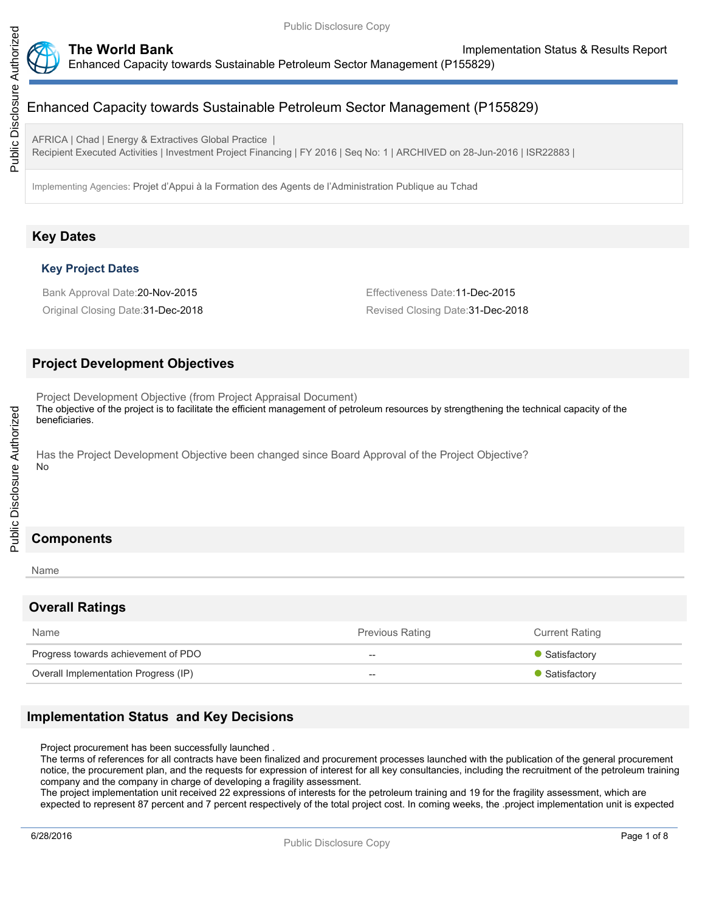

AFRICA | Chad | Energy & Extractives Global Practice |

Recipient Executed Activities | Investment Project Financing | FY 2016 | Seq No: 1 | ARCHIVED on 28-Jun-2016 | ISR22883 |

Implementing Agencies: Projet d'Appui à la Formation des Agents de l'Administration Publique au Tchad

# **Key Dates**

## **Key Project Dates**

Bank Approval Date:20-Nov-2015 **Effectiveness** Date:11-Dec-2015

Original Closing Date:31-Dec-2018 Revised Closing Date:31-Dec-2018

# **Project Development Objectives**

Project Development Objective (from Project Appraisal Document)

The objective of the project is to facilitate the efficient management of petroleum resources by strengthening the technical capacity of the beneficiaries.

Has the Project Development Objective been changed since Board Approval of the Project Objective? No

# **Components**

#### Name

## **Overall Ratings**

| Name                                 | <b>Previous Rating</b> | <b>Current Rating</b> |
|--------------------------------------|------------------------|-----------------------|
| Progress towards achievement of PDO  | $- -$                  | • Satisfactory        |
| Overall Implementation Progress (IP) | $- -$                  | • Satisfactory        |

# **Implementation Status and Key Decisions**

Project procurement has been successfully launched .

The terms of references for all contracts have been finalized and procurement processes launched with the publication of the general procurement notice, the procurement plan, and the requests for expression of interest for all key consultancies, including the recruitment of the petroleum training company and the company in charge of developing a fragility assessment.

The project implementation unit received 22 expressions of interests for the petroleum training and 19 for the fragility assessment, which are expected to represent 87 percent and 7 percent respectively of the total project cost. In coming weeks, the .project implementation unit is expected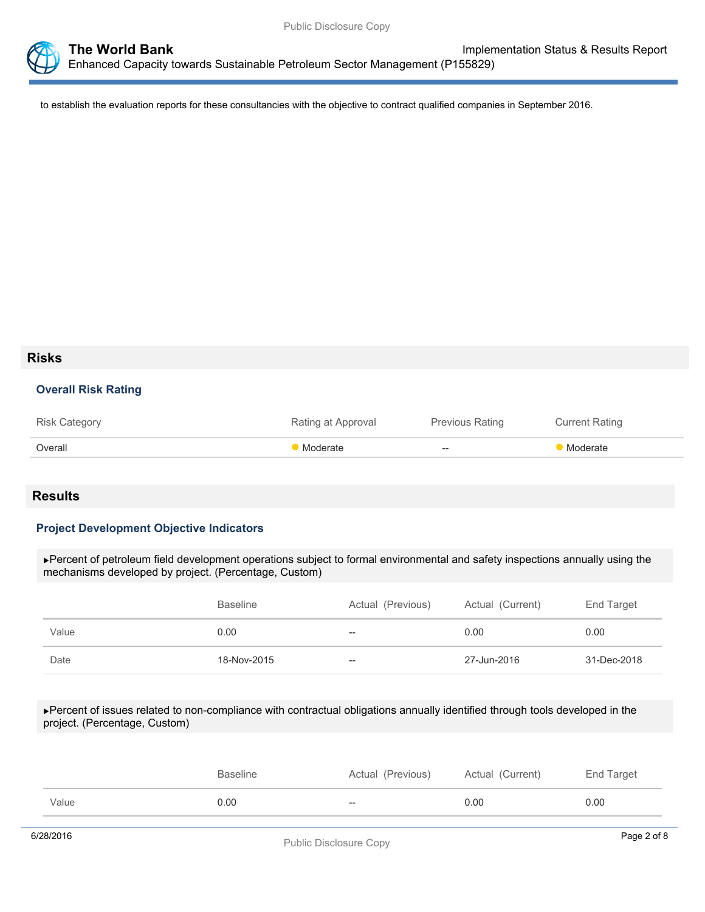

to establish the evaluation reports for these consultancies with the objective to contract qualified companies in September 2016.

# **Risks**

## **Overall Risk Rating**

| <b>Risk Category</b> | Rating at Approval | Previous Rating                                     | <b>Current Rating</b> |
|----------------------|--------------------|-----------------------------------------------------|-----------------------|
| Overall              | • Moderate         | $\hspace{0.05cm} -\hspace{0.05cm} -\hspace{0.05cm}$ | Moderate              |

# **Results**

## **Project Development Objective Indicators**

Percent of petroleum field development operations subject to formal environmental and safety inspections annually using the mechanisms developed by project. (Percentage, Custom)

|       | <b>Baseline</b> | Actual (Previous) | Actual (Current) | End Target  |
|-------|-----------------|-------------------|------------------|-------------|
| Value | 0.00            | $- -$             | 0.00             | 0.00        |
| Date  | 18-Nov-2015     | $- -$             | 27-Jun-2016      | 31-Dec-2018 |

Percent of issues related to non-compliance with contractual obligations annually identified through tools developed in the project. (Percentage, Custom)

|       | <b>Baseline</b> | Actual (Previous)        | Actual (Current) | End Target |
|-------|-----------------|--------------------------|------------------|------------|
| Value | 0.00            | $\overline{\phantom{a}}$ | 0.00             | 0.00       |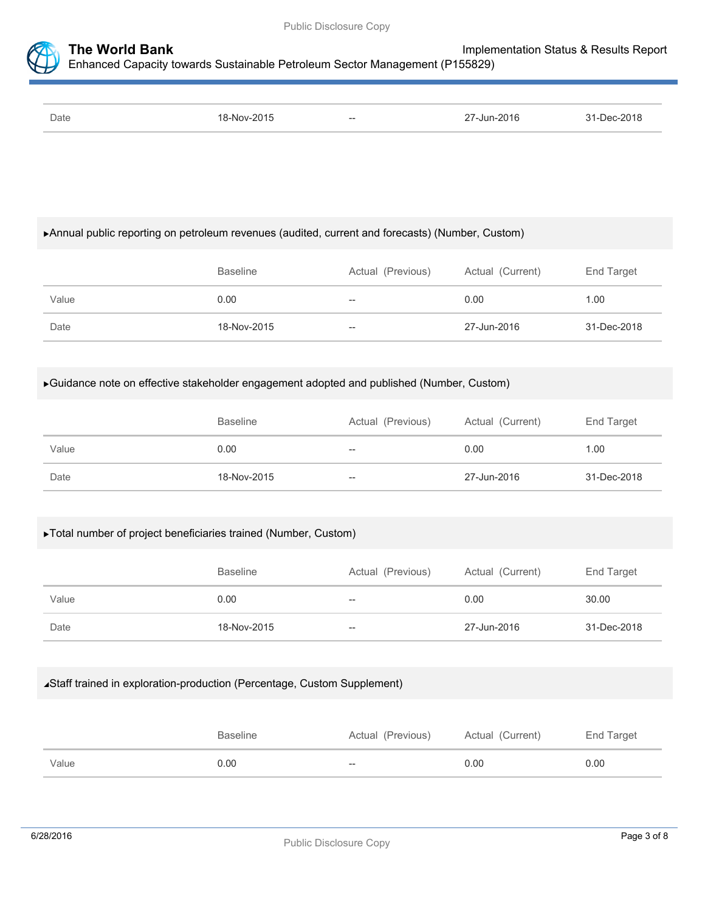

| Date | -NMV<br>. . | $- -$<br>___ | $-$ Jun-2016<br>$\sim$<br>the contract of the contract of the contract of the contract of the contract of the contract of the contract of | 201 <sup>2</sup> |
|------|-------------|--------------|-------------------------------------------------------------------------------------------------------------------------------------------|------------------|
|      |             |              |                                                                                                                                           |                  |

## Annual public reporting on petroleum revenues (audited, current and forecasts) (Number, Custom)

|       | <b>Baseline</b> | Actual (Previous) | Actual (Current) | End Target  |
|-------|-----------------|-------------------|------------------|-------------|
| Value | 0.00            | $- -$             | 0.00             | 1.00        |
| Date  | 18-Nov-2015     | $- -$             | 27-Jun-2016      | 31-Dec-2018 |

## Guidance note on effective stakeholder engagement adopted and published (Number, Custom)

|       | <b>Baseline</b> | Actual (Previous) | Actual (Current) | End Target  |
|-------|-----------------|-------------------|------------------|-------------|
| Value | 0.00            | $- -$             | 0.00             | 1.00        |
| Date  | 18-Nov-2015     | $- -$             | 27-Jun-2016      | 31-Dec-2018 |

## Total number of project beneficiaries trained (Number, Custom)

|       | <b>Baseline</b> | Actual (Previous) | Actual (Current) | End Target  |
|-------|-----------------|-------------------|------------------|-------------|
| Value | 0.00            | $- -$             | 0.00             | 30.00       |
| Date  | 18-Nov-2015     | --                | 27-Jun-2016      | 31-Dec-2018 |

## Staff trained in exploration-production (Percentage, Custom Supplement)

|       | <b>Baseline</b> | Actual (Previous) | Actual (Current) | End Target |
|-------|-----------------|-------------------|------------------|------------|
| Value | 0.00            | $-$               | 0.00             | 0.00       |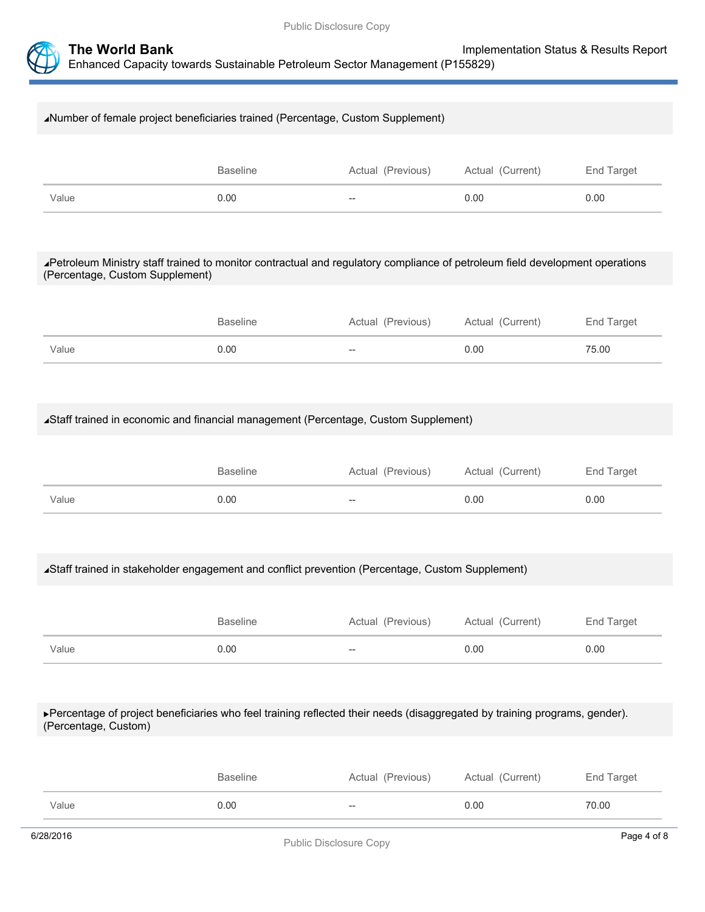

# Number of female project beneficiaries trained (Percentage, Custom Supplement) Baseline **Actual (Previous)** Actual (Current) End Target Value 0.00 -- 0.00 0.00

## Petroleum Ministry staff trained to monitor contractual and regulatory compliance of petroleum field development operations (Percentage, Custom Supplement)

|       | <b>Baseline</b> | Actual (Previous) | Actual (Current) | End Target |
|-------|-----------------|-------------------|------------------|------------|
| Value | 0.00            | $-\!$             | 0.00             | 75.00      |

# Staff trained in economic and financial management (Percentage, Custom Supplement)

|       | <b>Baseline</b> | Actual (Previous) | Actual (Current) | End Target |
|-------|-----------------|-------------------|------------------|------------|
| Value | 0.00            | $- -$             | 0.00             | 0.00       |

## Staff trained in stakeholder engagement and conflict prevention (Percentage, Custom Supplement)

|       | <b>Baseline</b> | Actual (Previous) | Actual (Current) | End Target |
|-------|-----------------|-------------------|------------------|------------|
| Value | 0.00            | $--$              | 0.00             | 0.00       |

#### Percentage of project beneficiaries who feel training reflected their needs (disaggregated by training programs, gender). (Percentage, Custom)

|       | Actual (Previous)<br><b>Baseline</b> |       | Actual (Current) | End Target |
|-------|--------------------------------------|-------|------------------|------------|
| Value | 0.00                                 | $- -$ | 0.00             | 70.00      |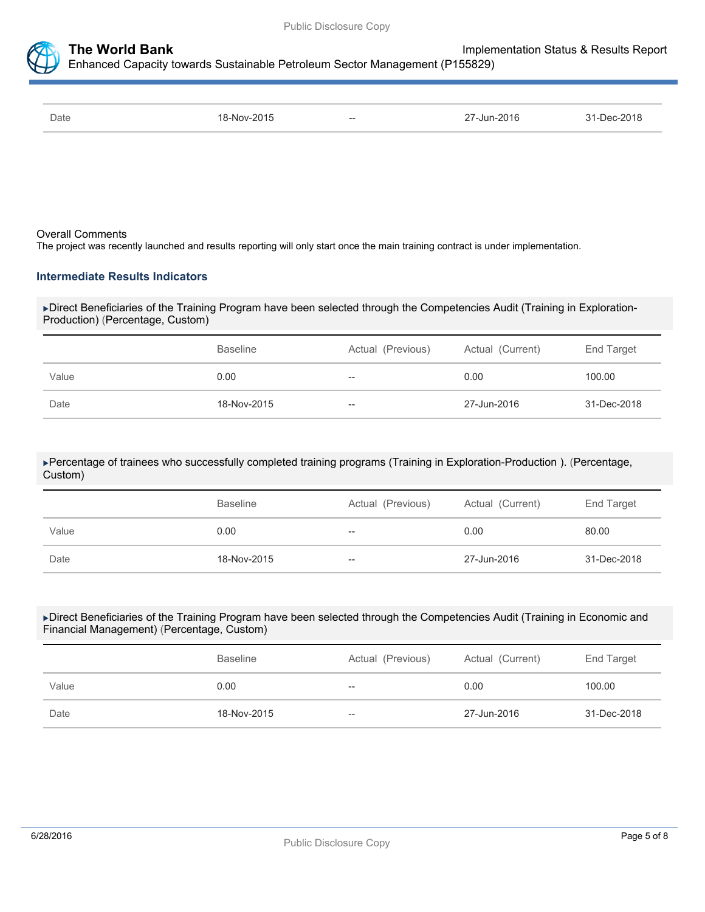

| Date | 18-Nov-2015 | $\hspace{0.05cm} \ldots$ | 27-Jun-2016 | 31-Dec-2018 |
|------|-------------|--------------------------|-------------|-------------|
|      |             |                          |             |             |

#### Overall Comments

The project was recently launched and results reporting will only start once the main training contract is under implementation.

#### **Intermediate Results Indicators**

Direct Beneficiaries of the Training Program have been selected through the Competencies Audit (Training in Exploration-Production) (Percentage, Custom)

|       | <b>Baseline</b> | Actual (Previous) | Actual (Current) | End Target  |
|-------|-----------------|-------------------|------------------|-------------|
| Value | 0.00            | $- -$             | 0.00             | 100.00      |
| Date  | 18-Nov-2015     | $- -$             | 27-Jun-2016      | 31-Dec-2018 |

#### Percentage of trainees who successfully completed training programs (Training in Exploration-Production ). (Percentage, Custom)

|       | <b>Baseline</b> | Actual (Previous) | Actual (Current) | End Target  |  |
|-------|-----------------|-------------------|------------------|-------------|--|
| Value | 0.00            | $- -$             | 0.00             | 80.00       |  |
| Date  | 18-Nov-2015     | $- -$             | 27-Jun-2016      | 31-Dec-2018 |  |

#### Direct Beneficiaries of the Training Program have been selected through the Competencies Audit (Training in Economic and Financial Management) (Percentage, Custom)

|       | Actual (Previous)<br><b>Baseline</b> |       | Actual (Current) | End Target  |  |
|-------|--------------------------------------|-------|------------------|-------------|--|
| Value | 0.00                                 | --    | 0.00             | 100.00      |  |
| Date  | 18-Nov-2015                          | $- -$ | 27-Jun-2016      | 31-Dec-2018 |  |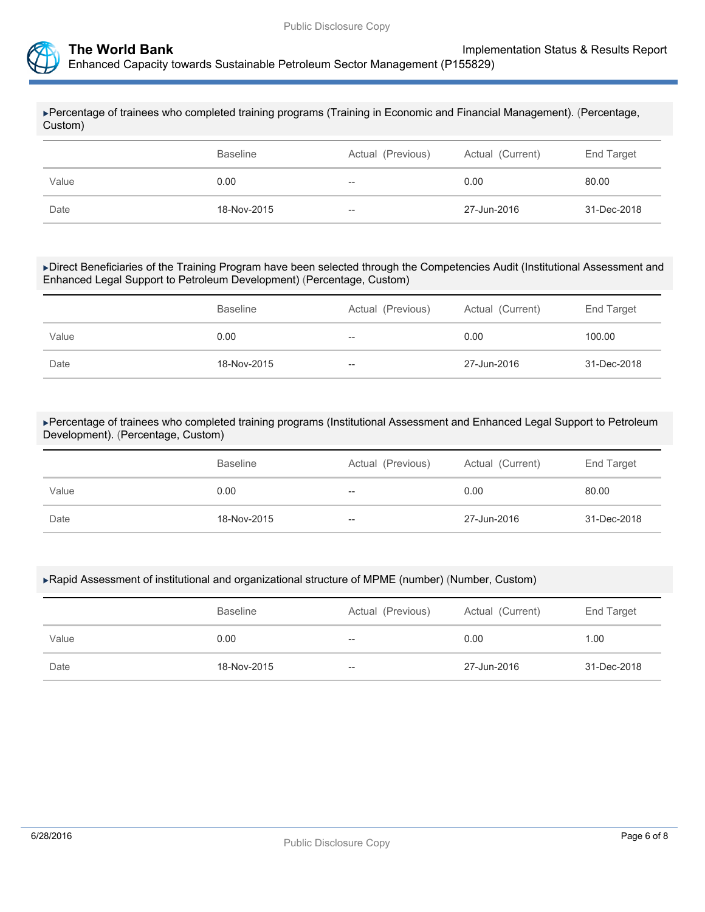

Percentage of trainees who completed training programs (Training in Economic and Financial Management). (Percentage, Custom)

|       | Actual (Previous)<br><b>Baseline</b> |       | Actual (Current) | End Target  |  |
|-------|--------------------------------------|-------|------------------|-------------|--|
| Value | 0.00                                 | --    | 0.00             | 80.00       |  |
| Date  | 18-Nov-2015                          | $-\!$ | 27-Jun-2016      | 31-Dec-2018 |  |

Direct Beneficiaries of the Training Program have been selected through the Competencies Audit (Institutional Assessment and Enhanced Legal Support to Petroleum Development) (Percentage, Custom)

|       | <b>Baseline</b> | Actual (Previous) | Actual (Current) | End Target  |
|-------|-----------------|-------------------|------------------|-------------|
| Value | 0.00            | $- -$             | 0.00             | 100.00      |
| Date  | 18-Nov-2015     | $- -$             | 27-Jun-2016      | 31-Dec-2018 |

Percentage of trainees who completed training programs (Institutional Assessment and Enhanced Legal Support to Petroleum Development). (Percentage, Custom)

|       | <b>Baseline</b><br>Actual (Previous) |       | Actual (Current) | End Target  |  |
|-------|--------------------------------------|-------|------------------|-------------|--|
| Value | 0.00                                 | $- -$ | 0.00             | 80.00       |  |
| Date  | 18-Nov-2015                          | $-\!$ | 27-Jun-2016      | 31-Dec-2018 |  |

#### Rapid Assessment of institutional and organizational structure of MPME (number) (Number, Custom)

|       | <b>Baseline</b> | Actual (Previous) | Actual (Current) | End Target  |  |
|-------|-----------------|-------------------|------------------|-------------|--|
| Value | 0.00            | $- -$             | 0.00             | 1.00        |  |
| Date  | 18-Nov-2015     | $- -$             | 27-Jun-2016      | 31-Dec-2018 |  |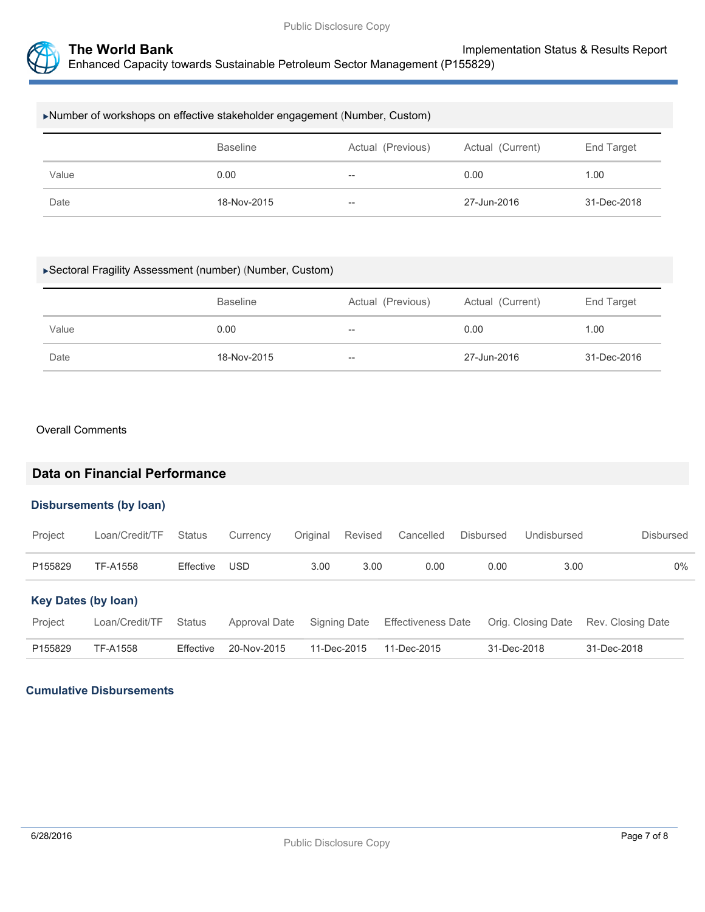

| ▶Number of workshops on effective stakeholder engagement (Number, Custom) |                                                                        |       |             |             |  |  |
|---------------------------------------------------------------------------|------------------------------------------------------------------------|-------|-------------|-------------|--|--|
|                                                                           | <b>Baseline</b><br>Actual (Previous)<br>End Target<br>Actual (Current) |       |             |             |  |  |
| Value                                                                     | 0.00                                                                   | $- -$ | 0.00        | 1.00        |  |  |
| Date                                                                      | 18-Nov-2015                                                            | $-$   | 27-Jun-2016 | 31-Dec-2018 |  |  |

## Sectoral Fragility Assessment (number) (Number, Custom)

|       | <b>Baseline</b> | Actual (Previous) | Actual (Current) | End Target  |
|-------|-----------------|-------------------|------------------|-------------|
| Value | 0.00            | $- -$             | 0.00             | 1.00        |
| Date  | 18-Nov-2015     | $-$               | 27-Jun-2016      | 31-Dec-2016 |

#### Overall Comments

# **Data on Financial Performance**

#### **Disbursements (by loan)**

| Project                    | Loan/Credit/TF | Status        | Currency      | Original | Revised      | Cancelled                 | <b>Disbursed</b> | Undisbursed        | <b>Disbursed</b>  |
|----------------------------|----------------|---------------|---------------|----------|--------------|---------------------------|------------------|--------------------|-------------------|
| P155829                    | TF-A1558       | Effective     | <b>USD</b>    | 3.00     | 3.00         | 0.00                      | 0.00             | 3.00               | $0\%$             |
| <b>Key Dates (by loan)</b> |                |               |               |          |              |                           |                  |                    |                   |
| Project                    | Loan/Credit/TF | <b>Status</b> | Approval Date |          | Signing Date | <b>Effectiveness Date</b> |                  | Orig. Closing Date | Rev. Closing Date |
| P155829                    | TF-A1558       | Effective     | 20-Nov-2015   |          | 11-Dec-2015  | 11-Dec-2015               |                  | 31-Dec-2018        | 31-Dec-2018       |

# **Cumulative Disbursements**